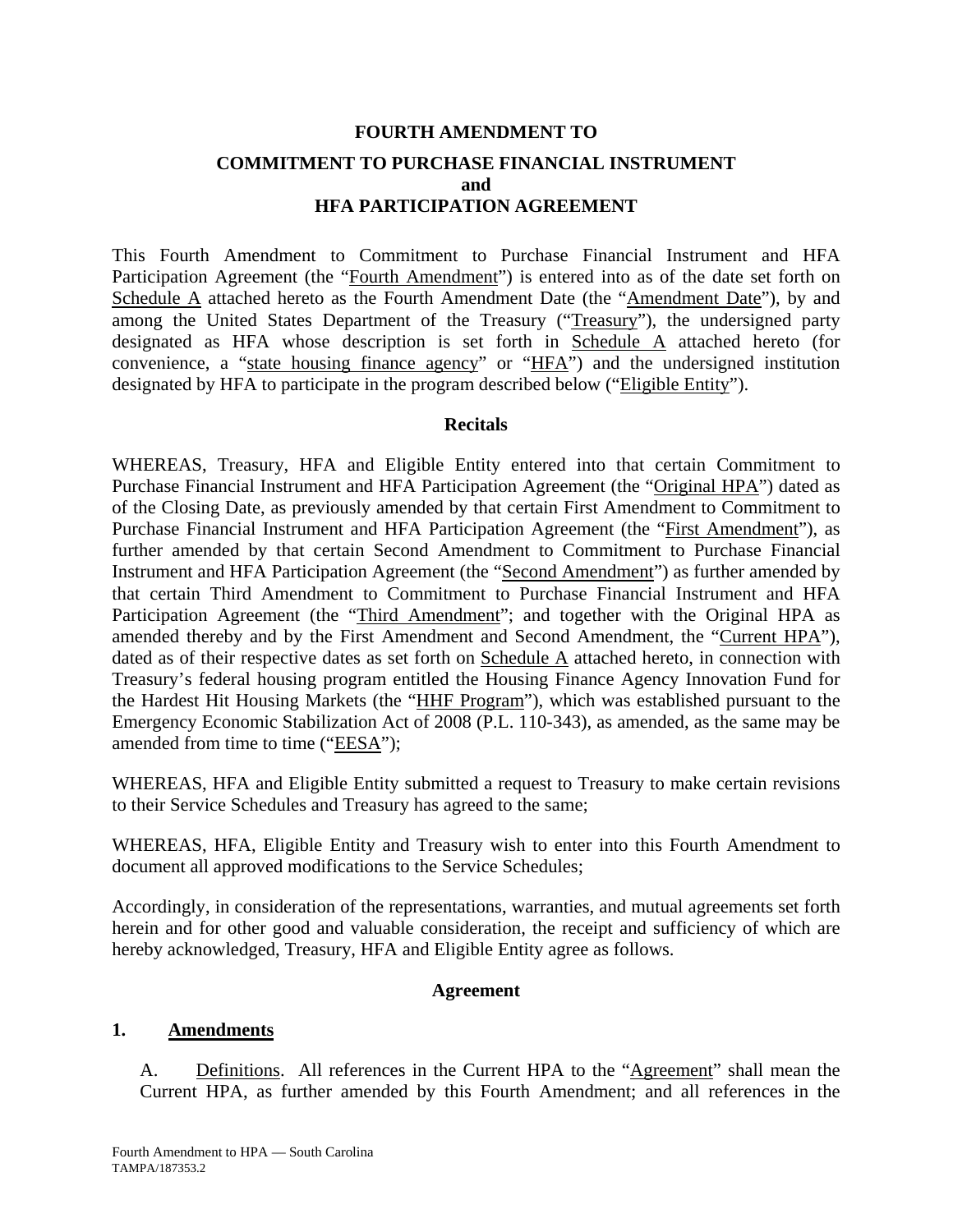# **FOURTH AMENDMENT TO COMMITMENT TO PURCHASE FINANCIAL INSTRUMENT and HFA PARTICIPATION AGREEMENT**

This Fourth Amendment to Commitment to Purchase Financial Instrument and HFA Participation Agreement (the "Fourth Amendment") is entered into as of the date set forth on Schedule A attached hereto as the Fourth Amendment Date (the "Amendment Date"), by and among the United States Department of the Treasury ("Treasury"), the undersigned party designated as HFA whose description is set forth in Schedule A attached hereto (for convenience, a "state housing finance agency" or "HFA") and the undersigned institution designated by HFA to participate in the program described below ("Eligible Entity").

#### **Recitals**

WHEREAS, Treasury, HFA and Eligible Entity entered into that certain Commitment to Purchase Financial Instrument and HFA Participation Agreement (the "Original HPA") dated as of the Closing Date, as previously amended by that certain First Amendment to Commitment to Purchase Financial Instrument and HFA Participation Agreement (the "First Amendment"), as further amended by that certain Second Amendment to Commitment to Purchase Financial Instrument and HFA Participation Agreement (the "Second Amendment") as further amended by that certain Third Amendment to Commitment to Purchase Financial Instrument and HFA Participation Agreement (the "Third Amendment"; and together with the Original HPA as amended thereby and by the First Amendment and Second Amendment, the "Current HPA"), dated as of their respective dates as set forth on Schedule A attached hereto, in connection with Treasury's federal housing program entitled the Housing Finance Agency Innovation Fund for the Hardest Hit Housing Markets (the "HHF Program"), which was established pursuant to the Emergency Economic Stabilization Act of 2008 (P.L. 110-343), as amended, as the same may be amended from time to time ("EESA");

WHEREAS, HFA and Eligible Entity submitted a request to Treasury to make certain revisions to their Service Schedules and Treasury has agreed to the same;

WHEREAS, HFA, Eligible Entity and Treasury wish to enter into this Fourth Amendment to document all approved modifications to the Service Schedules;

Accordingly, in consideration of the representations, warranties, and mutual agreements set forth herein and for other good and valuable consideration, the receipt and sufficiency of which are hereby acknowledged, Treasury, HFA and Eligible Entity agree as follows.

#### **Agreement**

#### **1. Amendments**

A. Definitions. All references in the Current HPA to the "Agreement" shall mean the Current HPA, as further amended by this Fourth Amendment; and all references in the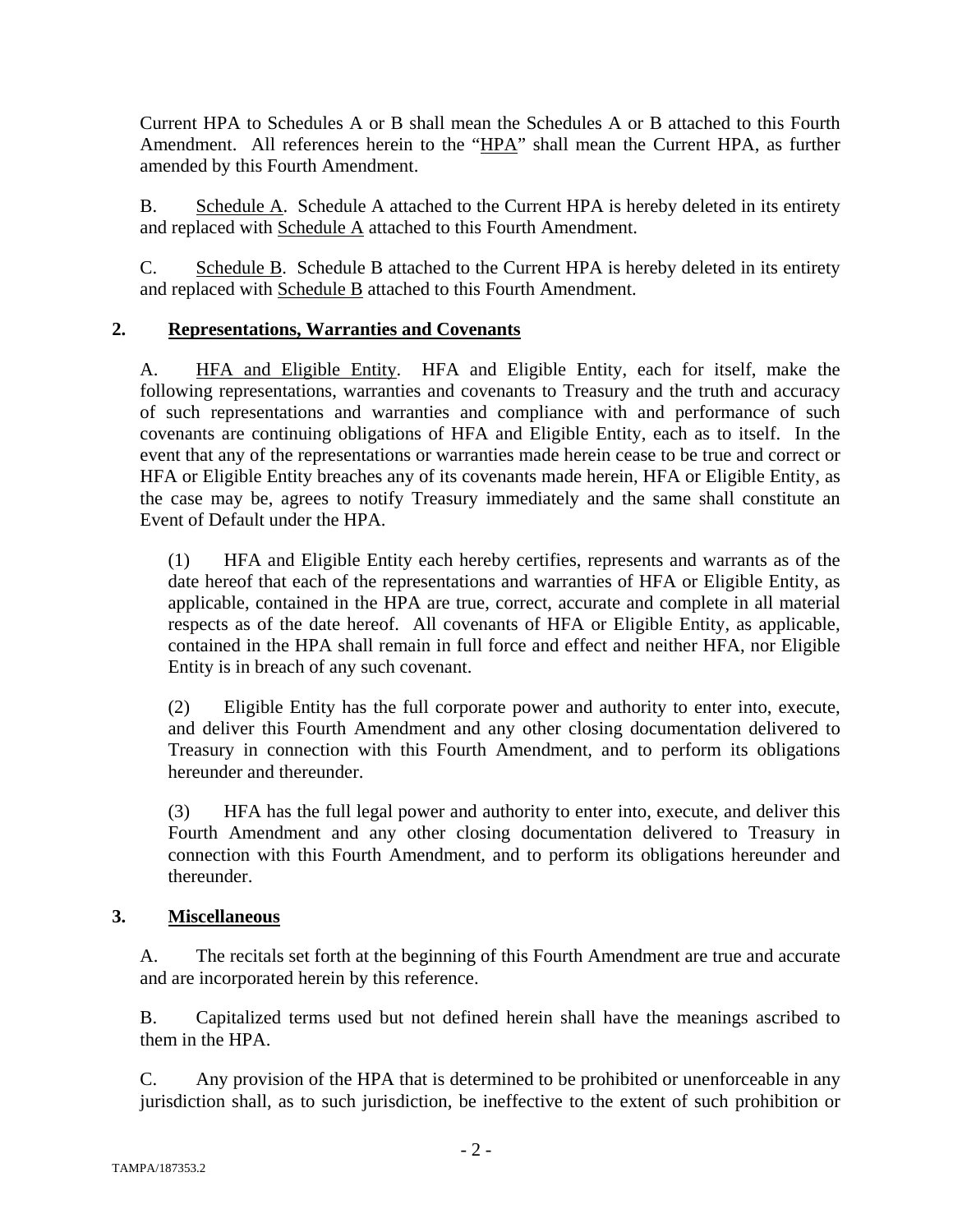Current HPA to Schedules A or B shall mean the Schedules A or B attached to this Fourth Amendment. All references herein to the "HPA" shall mean the Current HPA, as further amended by this Fourth Amendment.

B. Schedule A. Schedule A attached to the Current HPA is hereby deleted in its entirety and replaced with Schedule A attached to this Fourth Amendment.

C. Schedule B. Schedule B attached to the Current HPA is hereby deleted in its entirety and replaced with Schedule B attached to this Fourth Amendment.

# **2. Representations, Warranties and Covenants**

A. HFA and Eligible Entity. HFA and Eligible Entity, each for itself, make the following representations, warranties and covenants to Treasury and the truth and accuracy of such representations and warranties and compliance with and performance of such covenants are continuing obligations of HFA and Eligible Entity, each as to itself. In the event that any of the representations or warranties made herein cease to be true and correct or HFA or Eligible Entity breaches any of its covenants made herein, HFA or Eligible Entity, as the case may be, agrees to notify Treasury immediately and the same shall constitute an Event of Default under the HPA.

(1) HFA and Eligible Entity each hereby certifies, represents and warrants as of the date hereof that each of the representations and warranties of HFA or Eligible Entity, as applicable, contained in the HPA are true, correct, accurate and complete in all material respects as of the date hereof. All covenants of HFA or Eligible Entity, as applicable, contained in the HPA shall remain in full force and effect and neither HFA, nor Eligible Entity is in breach of any such covenant.

(2) Eligible Entity has the full corporate power and authority to enter into, execute, and deliver this Fourth Amendment and any other closing documentation delivered to Treasury in connection with this Fourth Amendment, and to perform its obligations hereunder and thereunder.

(3) HFA has the full legal power and authority to enter into, execute, and deliver this Fourth Amendment and any other closing documentation delivered to Treasury in connection with this Fourth Amendment, and to perform its obligations hereunder and thereunder.

### **3. Miscellaneous**

A. The recitals set forth at the beginning of this Fourth Amendment are true and accurate and are incorporated herein by this reference.

B. Capitalized terms used but not defined herein shall have the meanings ascribed to them in the HPA.

C. Any provision of the HPA that is determined to be prohibited or unenforceable in any jurisdiction shall, as to such jurisdiction, be ineffective to the extent of such prohibition or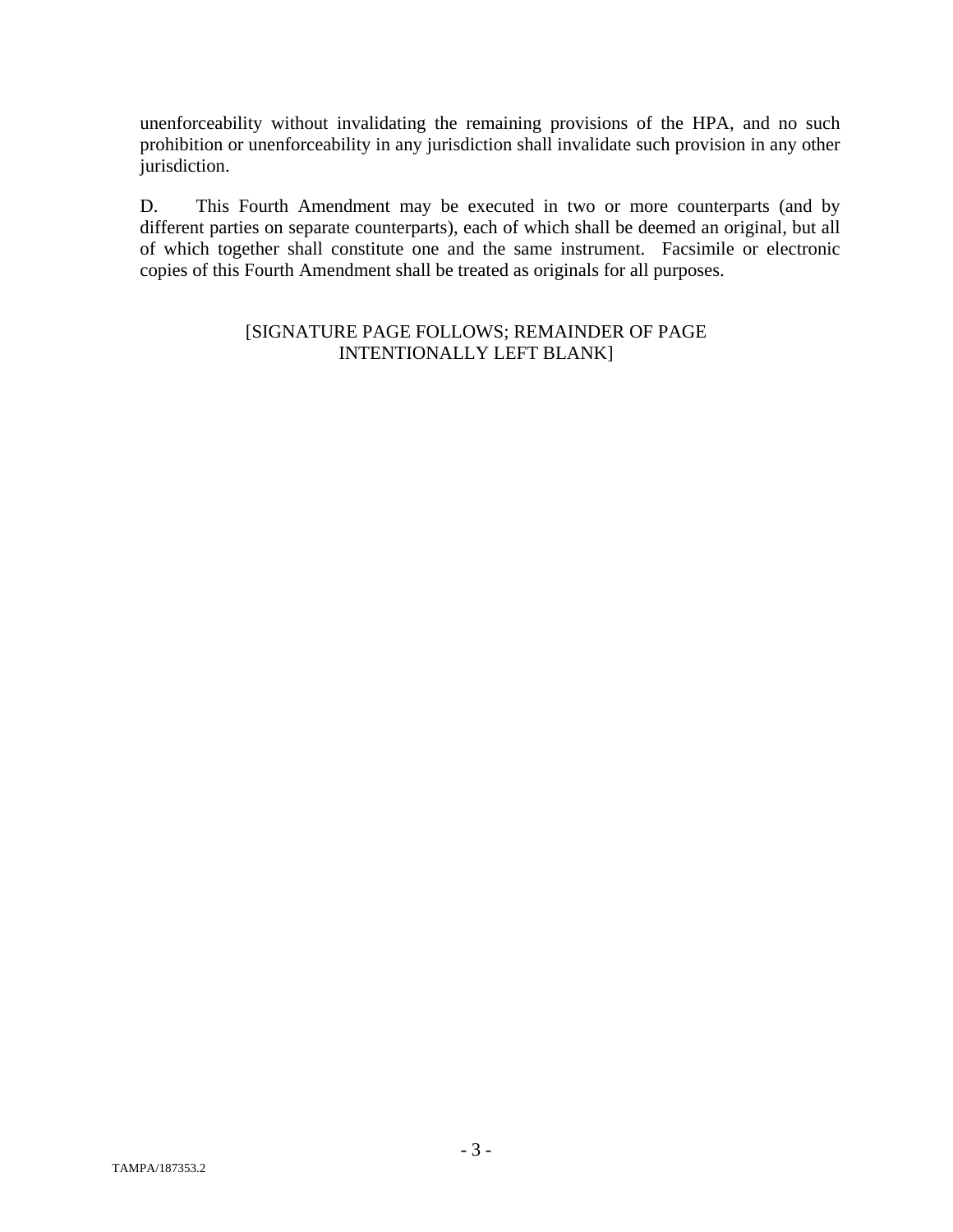unenforceability without invalidating the remaining provisions of the HPA, and no such prohibition or unenforceability in any jurisdiction shall invalidate such provision in any other jurisdiction.

D. This Fourth Amendment may be executed in two or more counterparts (and by different parties on separate counterparts), each of which shall be deemed an original, but all of which together shall constitute one and the same instrument. Facsimile or electronic copies of this Fourth Amendment shall be treated as originals for all purposes.

#### [SIGNATURE PAGE FOLLOWS; REMAINDER OF PAGE INTENTIONALLY LEFT BLANK]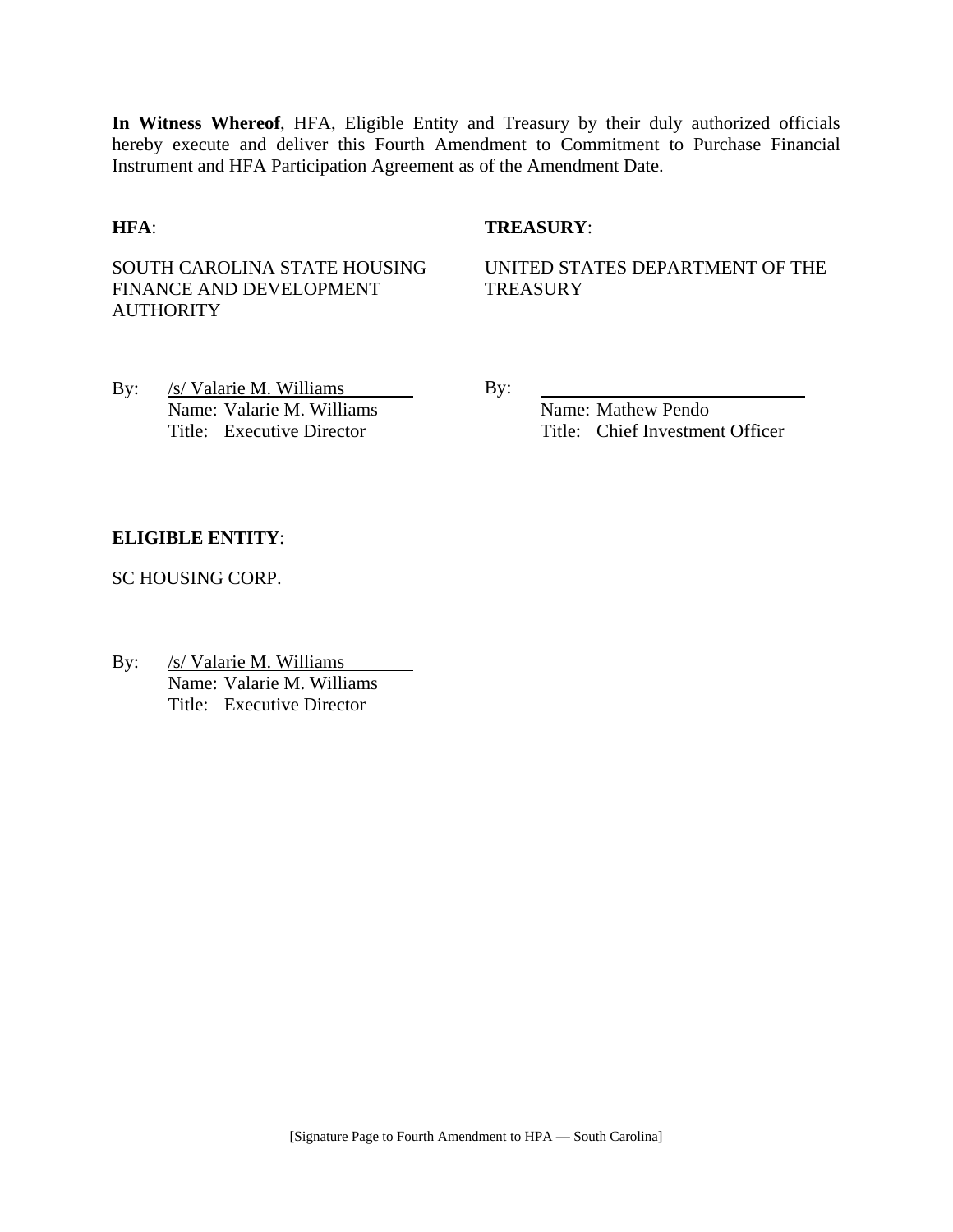**In Witness Whereof**, HFA, Eligible Entity and Treasury by their duly authorized officials hereby execute and deliver this Fourth Amendment to Commitment to Purchase Financial Instrument and HFA Participation Agreement as of the Amendment Date.

#### **HFA**: **TREASURY**:

SOUTH CAROLINA STATE HOUSING FINANCE AND DEVELOPMENT **AUTHORITY** 

UNITED STATES DEPARTMENT OF THE **TREASURY** 

By: /s/ Valarie M. Williams By: Name: Valarie M. Williams Name: Mathew Pendo

Title: Executive Director Title: Chief Investment Officer

#### **ELIGIBLE ENTITY**:

SC HOUSING CORP.

By: /s/ Valarie M. Williams Name: Valarie M. Williams Title: Executive Director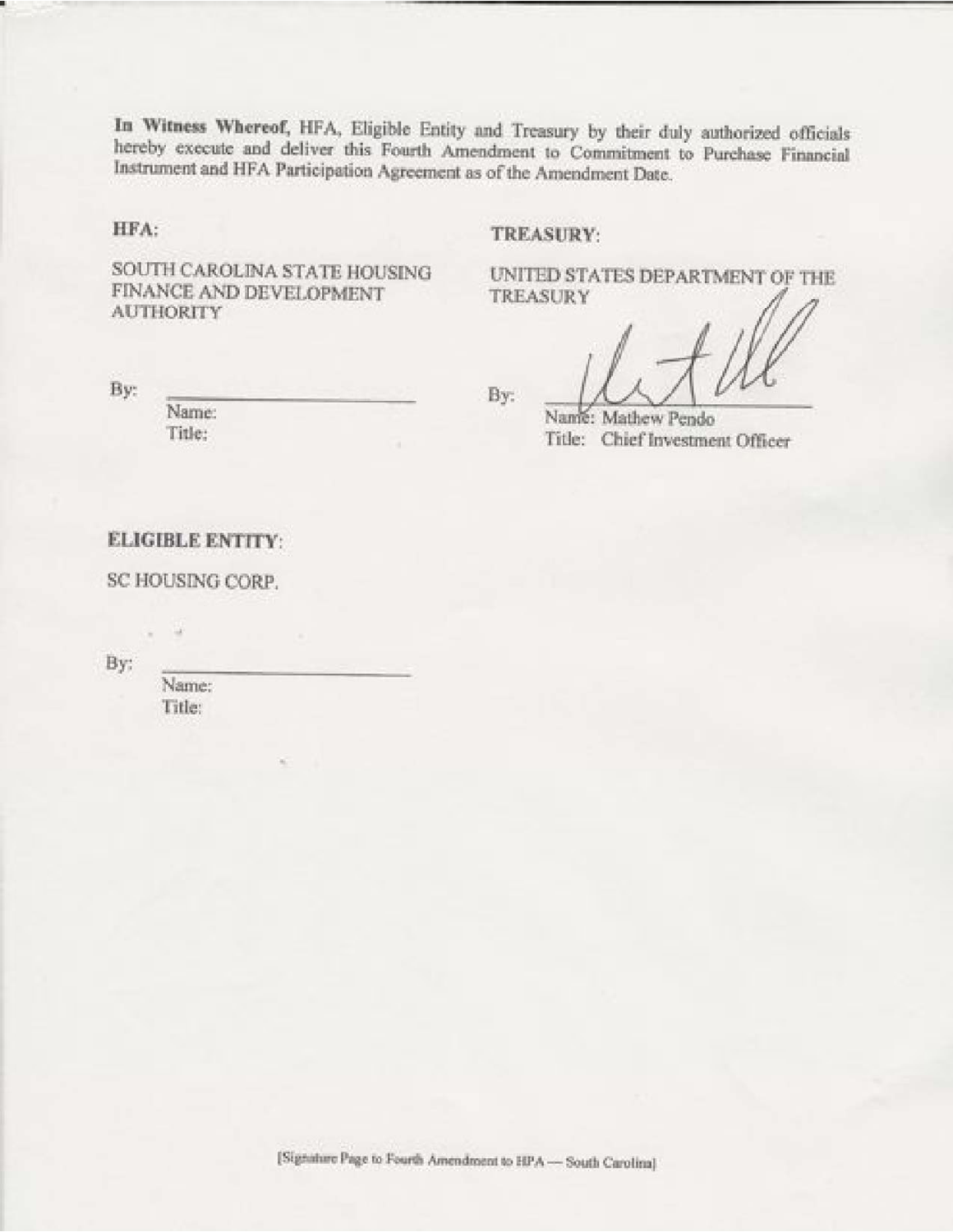In Witness Whereof, HFA, Eligible Entity and Treasury by their duly authorized officials hereby execute and deliver this Fourth Amendment to Commitment to Purchase Financial Instrument and HFA Participation Agreement as of the Amendment Date.

HFA:

#### TREASURY:

SOUTH CAROLINA STATE HOUSING FINANCE AND DEVELOPMENT **AUTHORITY** 

UNITED STATES DEPARTMENT OF THE **TREASURY** 

By:

Name: Title:

By:

Name: Mathew Pendo Title: Chief Investment Officer

#### **ELIGIBLE ENTITY:**

SC HOUSING CORP.

By:

Name: Title:

[Signature Page to Fourth Amendment to HPA - South Carolina]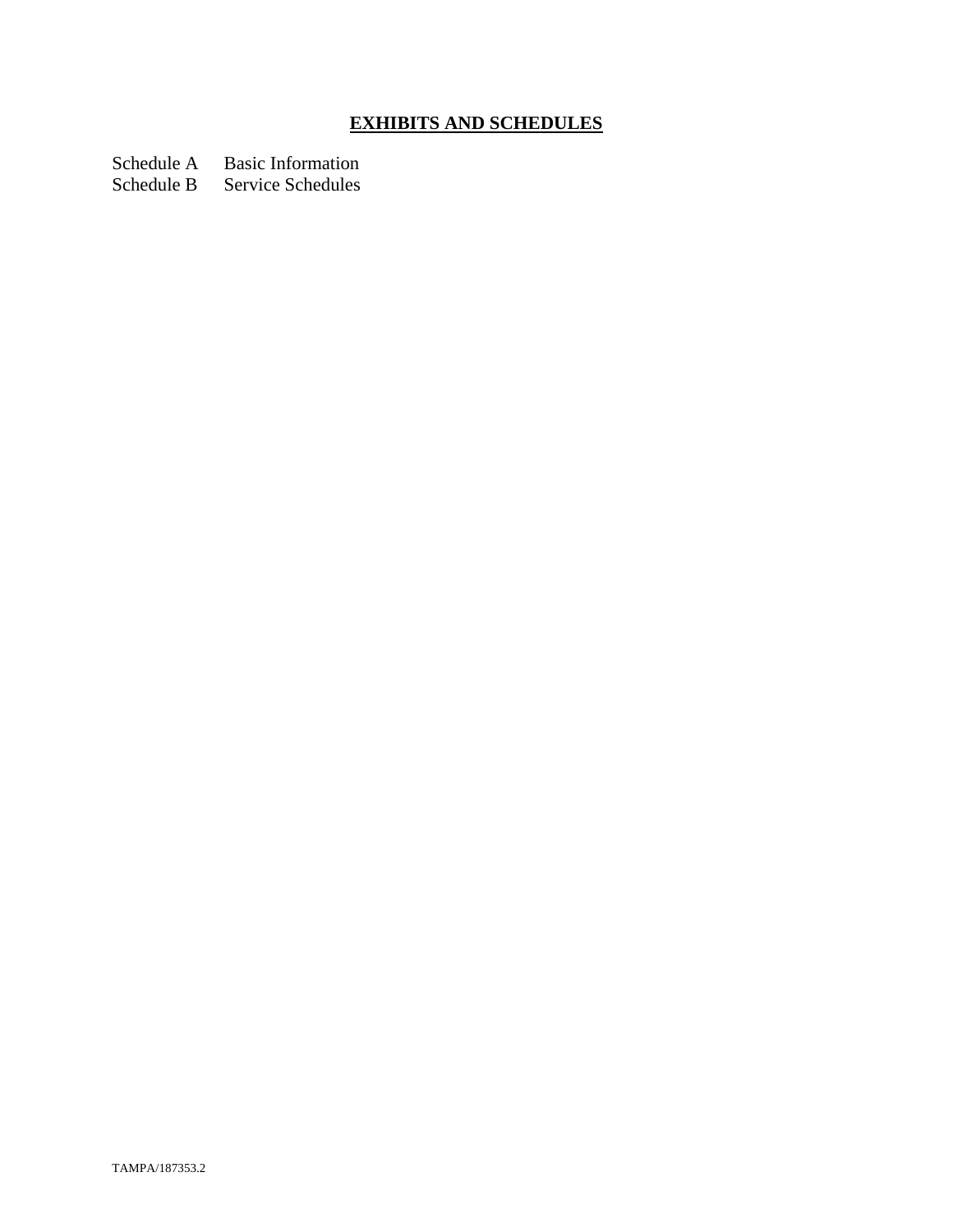# **EXHIBITS AND SCHEDULES**

Schedule A Basic Information

Schedule B Service Schedules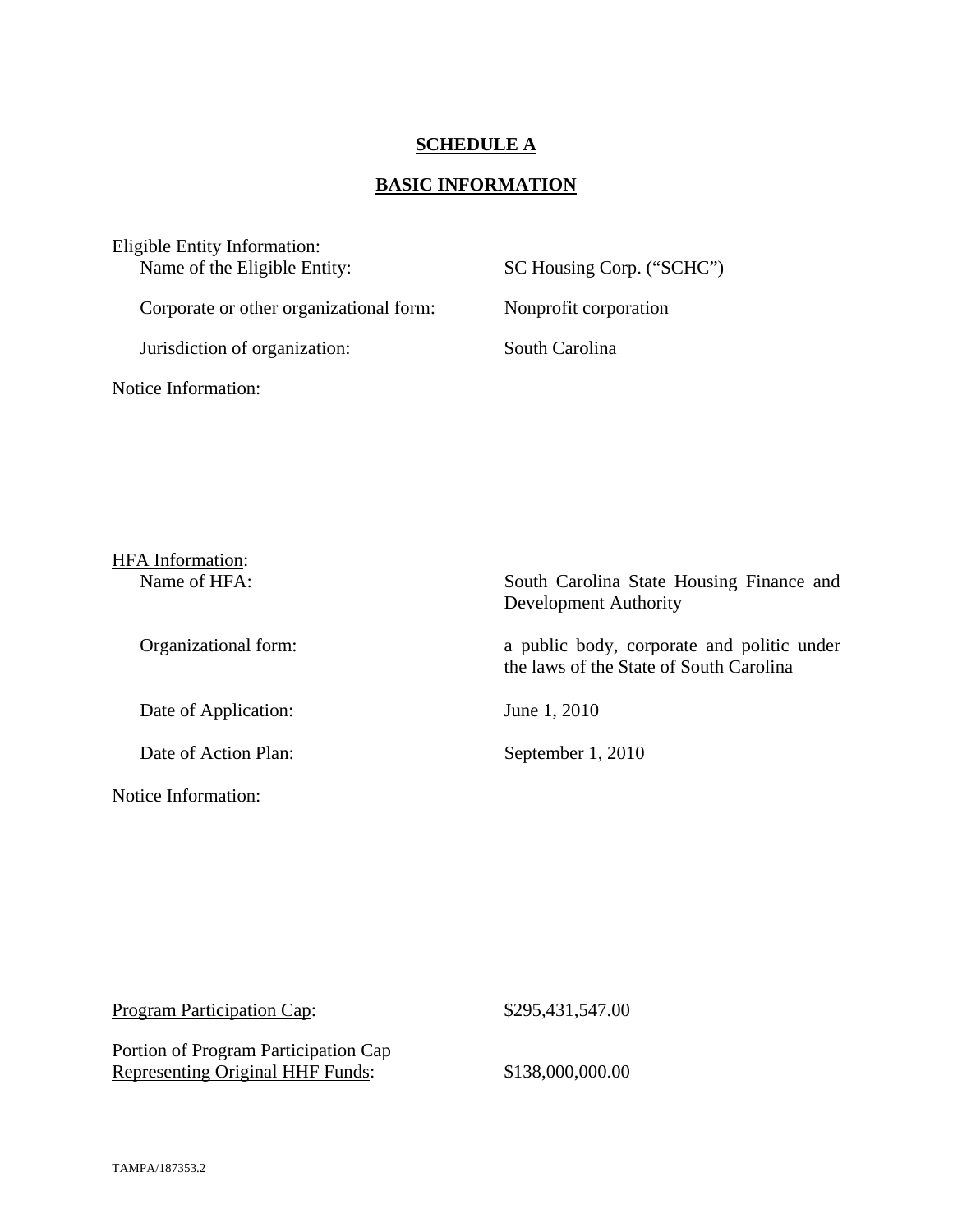#### **SCHEDULE A**

# **BASIC INFORMATION**

Eligible Entity Information:<br>Name of the Eligible Entity:

Corporate or other organizational form: Nonprofit corporation

Jurisdiction of organization: South Carolina

Notice Information:

SC Housing Corp. ("SCHC")

| <b>HFA</b> Information: |                                                                                       |
|-------------------------|---------------------------------------------------------------------------------------|
| Name of HFA:            | South Carolina State Housing Finance and<br>Development Authority                     |
| Organizational form:    | a public body, corporate and politic under<br>the laws of the State of South Carolina |
| Date of Application:    | June 1, 2010                                                                          |
| Date of Action Plan:    | September 1, 2010                                                                     |
| Notice Information:     |                                                                                       |

| Program Participation Cap:              | \$295,431,547.00 |
|-----------------------------------------|------------------|
| Portion of Program Participation Cap    |                  |
| <b>Representing Original HHF Funds:</b> | \$138,000,000.00 |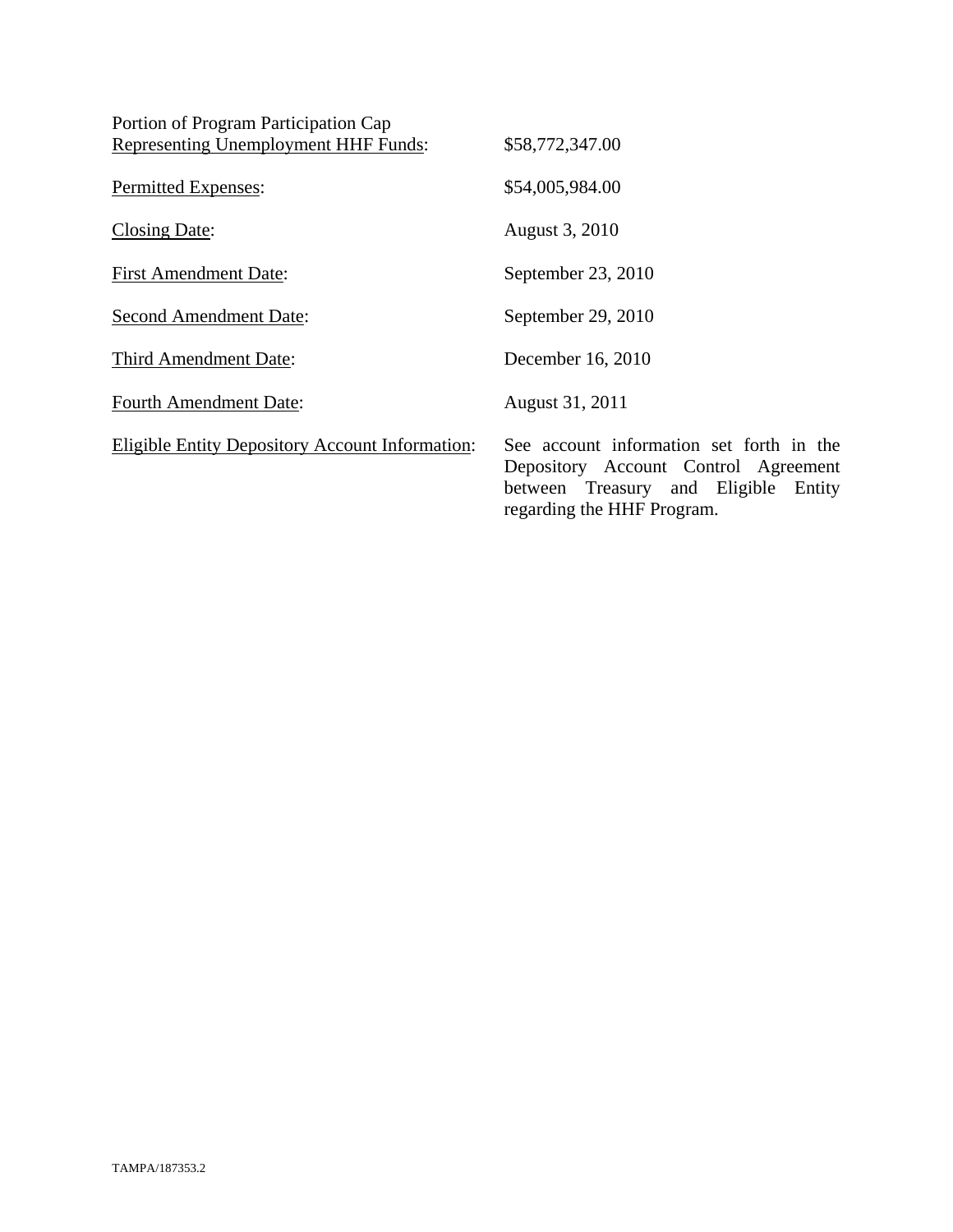| Portion of Program Participation Cap                   |                                                                                                                             |
|--------------------------------------------------------|-----------------------------------------------------------------------------------------------------------------------------|
| <b>Representing Unemployment HHF Funds:</b>            | \$58,772,347.00                                                                                                             |
| Permitted Expenses:                                    | \$54,005,984.00                                                                                                             |
| Closing Date:                                          | August 3, 2010                                                                                                              |
| <b>First Amendment Date:</b>                           | September 23, 2010                                                                                                          |
| <b>Second Amendment Date:</b>                          | September 29, 2010                                                                                                          |
| Third Amendment Date:                                  | December 16, 2010                                                                                                           |
| <b>Fourth Amendment Date:</b>                          | August 31, 2011                                                                                                             |
| <b>Eligible Entity Depository Account Information:</b> | See account information set forth in the<br>Depository Account Control Agreement<br>between Treasury and Eligible<br>Entity |

regarding the HHF Program.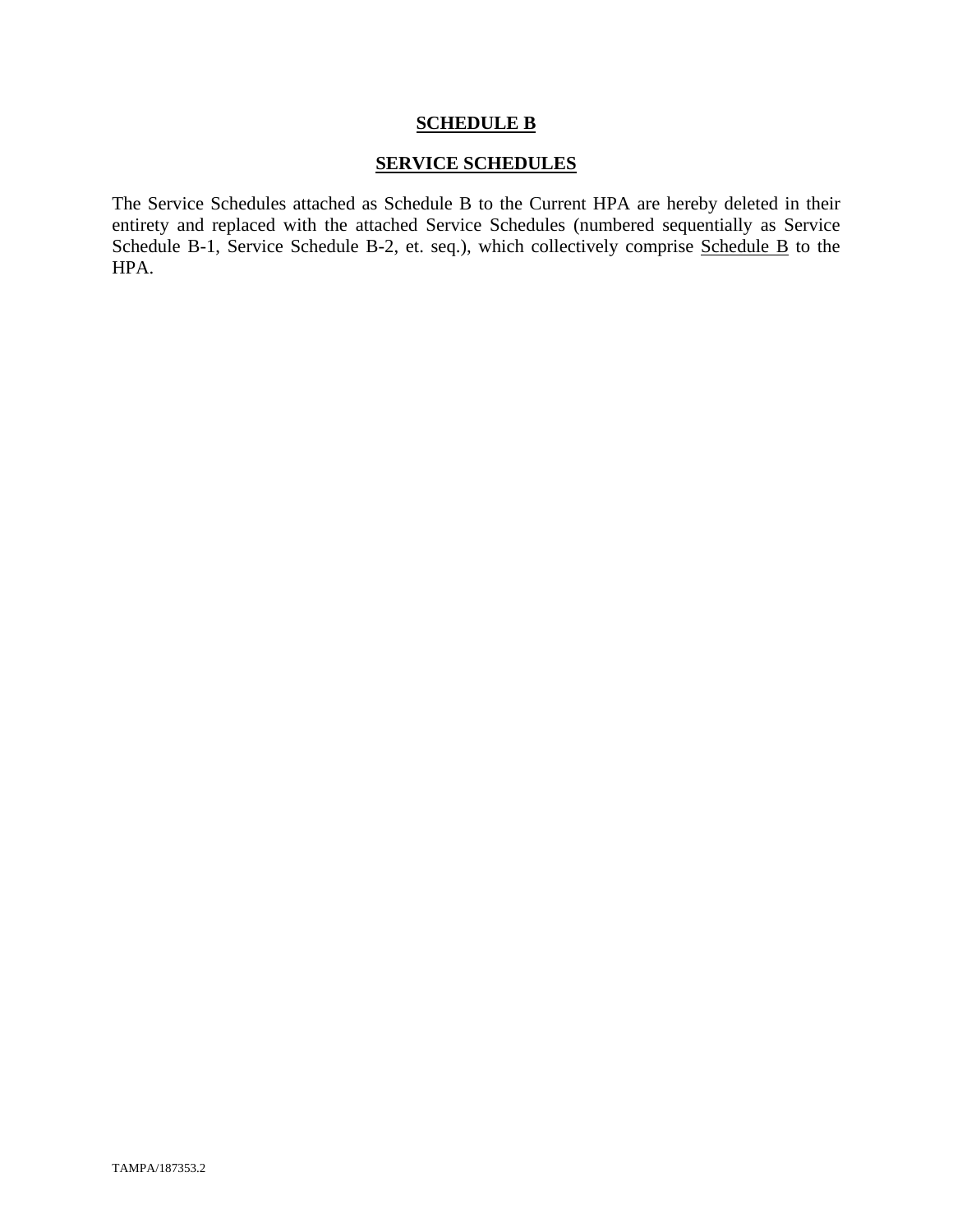#### **SCHEDULE B**

#### **SERVICE SCHEDULES**

The Service Schedules attached as Schedule B to the Current HPA are hereby deleted in their entirety and replaced with the attached Service Schedules (numbered sequentially as Service Schedule B-1, Service Schedule B-2, et. seq.), which collectively comprise Schedule B to the HPA.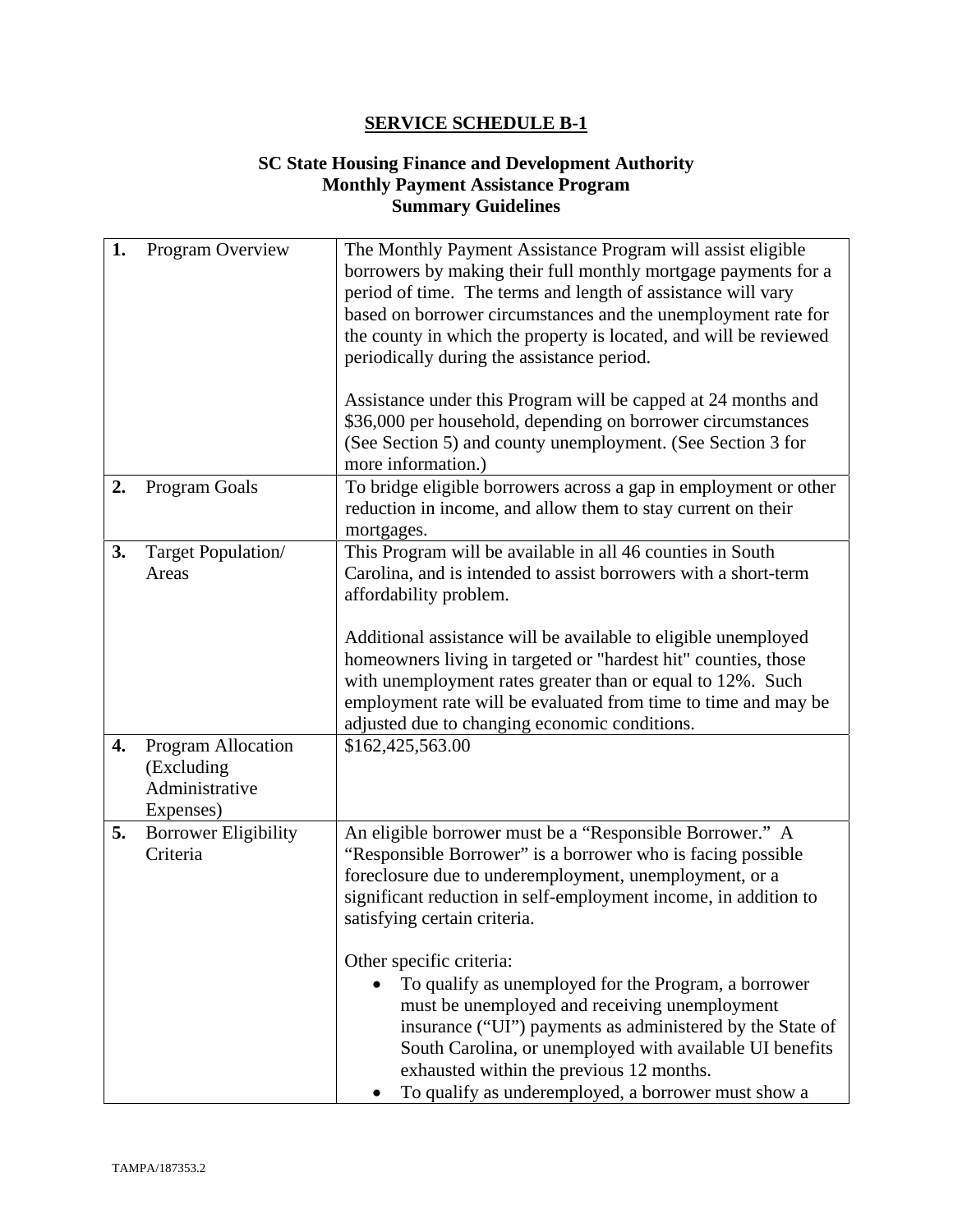### **SC State Housing Finance and Development Authority Monthly Payment Assistance Program Summary Guidelines**

| 1. | Program Overview                                                | The Monthly Payment Assistance Program will assist eligible<br>borrowers by making their full monthly mortgage payments for a<br>period of time. The terms and length of assistance will vary<br>based on borrower circumstances and the unemployment rate for<br>the county in which the property is located, and will be reviewed<br>periodically during the assistance period.<br>Assistance under this Program will be capped at 24 months and<br>\$36,000 per household, depending on borrower circumstances<br>(See Section 5) and county unemployment. (See Section 3 for<br>more information.)                                                |
|----|-----------------------------------------------------------------|-------------------------------------------------------------------------------------------------------------------------------------------------------------------------------------------------------------------------------------------------------------------------------------------------------------------------------------------------------------------------------------------------------------------------------------------------------------------------------------------------------------------------------------------------------------------------------------------------------------------------------------------------------|
| 2. | Program Goals                                                   | To bridge eligible borrowers across a gap in employment or other<br>reduction in income, and allow them to stay current on their<br>mortgages.                                                                                                                                                                                                                                                                                                                                                                                                                                                                                                        |
| 3. | Target Population/<br>Areas                                     | This Program will be available in all 46 counties in South<br>Carolina, and is intended to assist borrowers with a short-term<br>affordability problem.<br>Additional assistance will be available to eligible unemployed<br>homeowners living in targeted or "hardest hit" counties, those<br>with unemployment rates greater than or equal to 12%. Such<br>employment rate will be evaluated from time to time and may be<br>adjusted due to changing economic conditions.                                                                                                                                                                          |
| 4. | Program Allocation<br>(Excluding<br>Administrative<br>Expenses) | \$162,425,563.00                                                                                                                                                                                                                                                                                                                                                                                                                                                                                                                                                                                                                                      |
| 5. | <b>Borrower Eligibility</b><br>Criteria                         | An eligible borrower must be a "Responsible Borrower." A<br>"Responsible Borrower" is a borrower who is facing possible<br>foreclosure due to underemployment, unemployment, or a<br>significant reduction in self-employment income, in addition to<br>satisfying certain criteria.<br>Other specific criteria:<br>To qualify as unemployed for the Program, a borrower<br>must be unemployed and receiving unemployment<br>insurance ("UI") payments as administered by the State of<br>South Carolina, or unemployed with available UI benefits<br>exhausted within the previous 12 months.<br>To qualify as underemployed, a borrower must show a |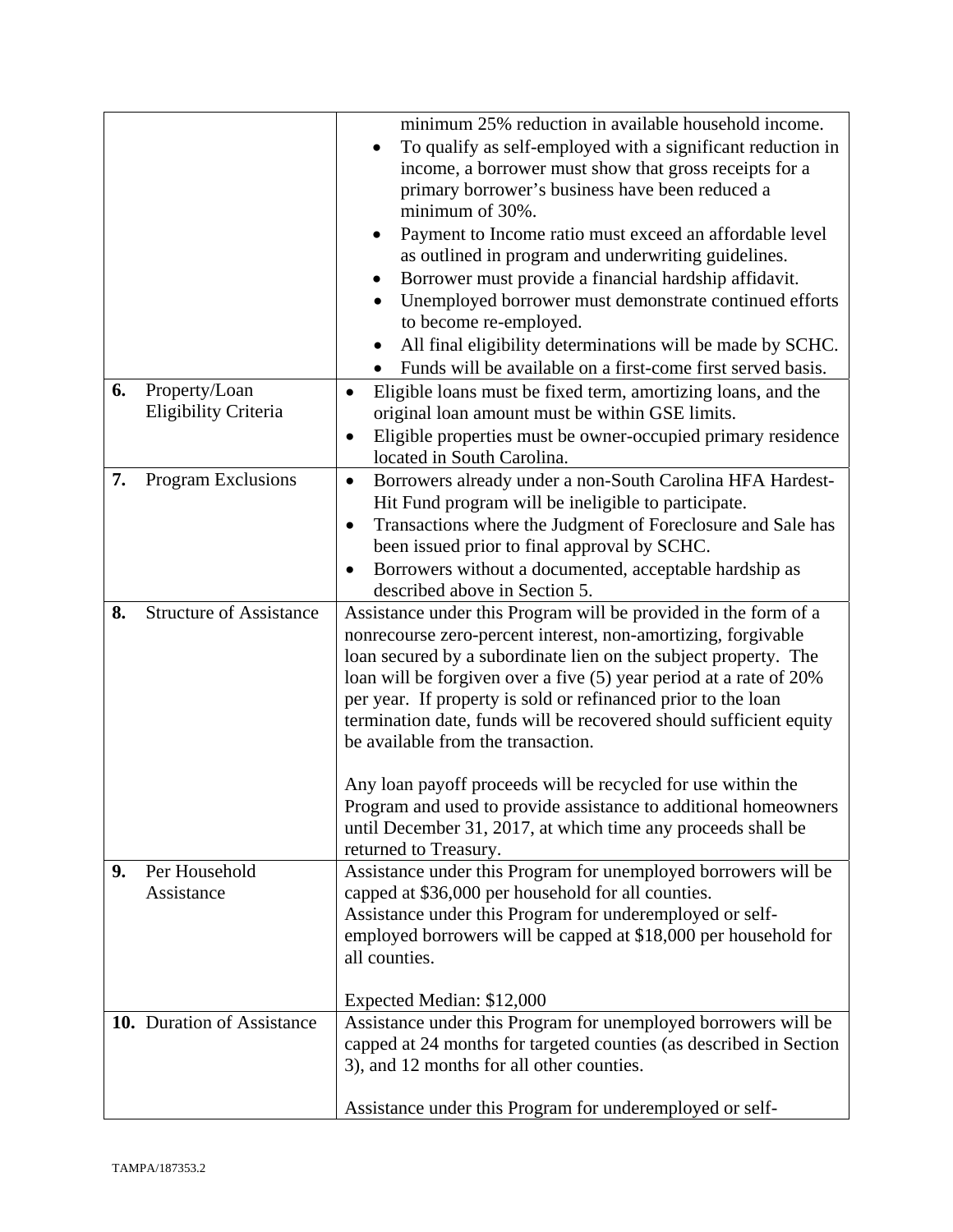|    |                                | minimum 25% reduction in available household income.<br>To qualify as self-employed with a significant reduction in |
|----|--------------------------------|---------------------------------------------------------------------------------------------------------------------|
|    |                                | income, a borrower must show that gross receipts for a                                                              |
|    |                                | primary borrower's business have been reduced a                                                                     |
|    |                                | minimum of 30%.                                                                                                     |
|    |                                |                                                                                                                     |
|    |                                | Payment to Income ratio must exceed an affordable level<br>٠                                                        |
|    |                                | as outlined in program and underwriting guidelines.                                                                 |
|    |                                | Borrower must provide a financial hardship affidavit.                                                               |
|    |                                | Unemployed borrower must demonstrate continued efforts                                                              |
|    |                                | to become re-employed.                                                                                              |
|    |                                | All final eligibility determinations will be made by SCHC.                                                          |
|    |                                | Funds will be available on a first-come first served basis.                                                         |
| 6. | Property/Loan                  |                                                                                                                     |
|    |                                | Eligible loans must be fixed term, amortizing loans, and the                                                        |
|    | Eligibility Criteria           | original loan amount must be within GSE limits.                                                                     |
|    |                                | Eligible properties must be owner-occupied primary residence                                                        |
|    |                                | located in South Carolina.                                                                                          |
| 7. | Program Exclusions             | Borrowers already under a non-South Carolina HFA Hardest-<br>$\bullet$                                              |
|    |                                | Hit Fund program will be ineligible to participate.                                                                 |
|    |                                | Transactions where the Judgment of Foreclosure and Sale has<br>$\bullet$                                            |
|    |                                | been issued prior to final approval by SCHC.                                                                        |
|    |                                | Borrowers without a documented, acceptable hardship as                                                              |
|    |                                | described above in Section 5.                                                                                       |
| 8. | <b>Structure of Assistance</b> | Assistance under this Program will be provided in the form of a                                                     |
|    |                                | nonrecourse zero-percent interest, non-amortizing, forgivable                                                       |
|    |                                | loan secured by a subordinate lien on the subject property. The                                                     |
|    |                                | loan will be forgiven over a five (5) year period at a rate of 20%                                                  |
|    |                                |                                                                                                                     |
|    |                                | per year. If property is sold or refinanced prior to the loan                                                       |
|    |                                | termination date, funds will be recovered should sufficient equity                                                  |
|    |                                | be available from the transaction.                                                                                  |
|    |                                |                                                                                                                     |
|    |                                | Any loan payoff proceeds will be recycled for use within the                                                        |
|    |                                | Program and used to provide assistance to additional homeowners                                                     |
|    |                                | until December 31, 2017, at which time any proceeds shall be                                                        |
|    |                                | returned to Treasury.                                                                                               |
| 9. | Per Household                  | Assistance under this Program for unemployed borrowers will be                                                      |
|    | Assistance                     | capped at \$36,000 per household for all counties.                                                                  |
|    |                                | Assistance under this Program for underemployed or self-                                                            |
|    |                                | employed borrowers will be capped at \$18,000 per household for                                                     |
|    |                                | all counties.                                                                                                       |
|    |                                |                                                                                                                     |
|    |                                | Expected Median: \$12,000                                                                                           |
|    | 10. Duration of Assistance     | Assistance under this Program for unemployed borrowers will be                                                      |
|    |                                | capped at 24 months for targeted counties (as described in Section                                                  |
|    |                                | 3), and 12 months for all other counties.                                                                           |
|    |                                |                                                                                                                     |
|    |                                |                                                                                                                     |
|    |                                | Assistance under this Program for underemployed or self-                                                            |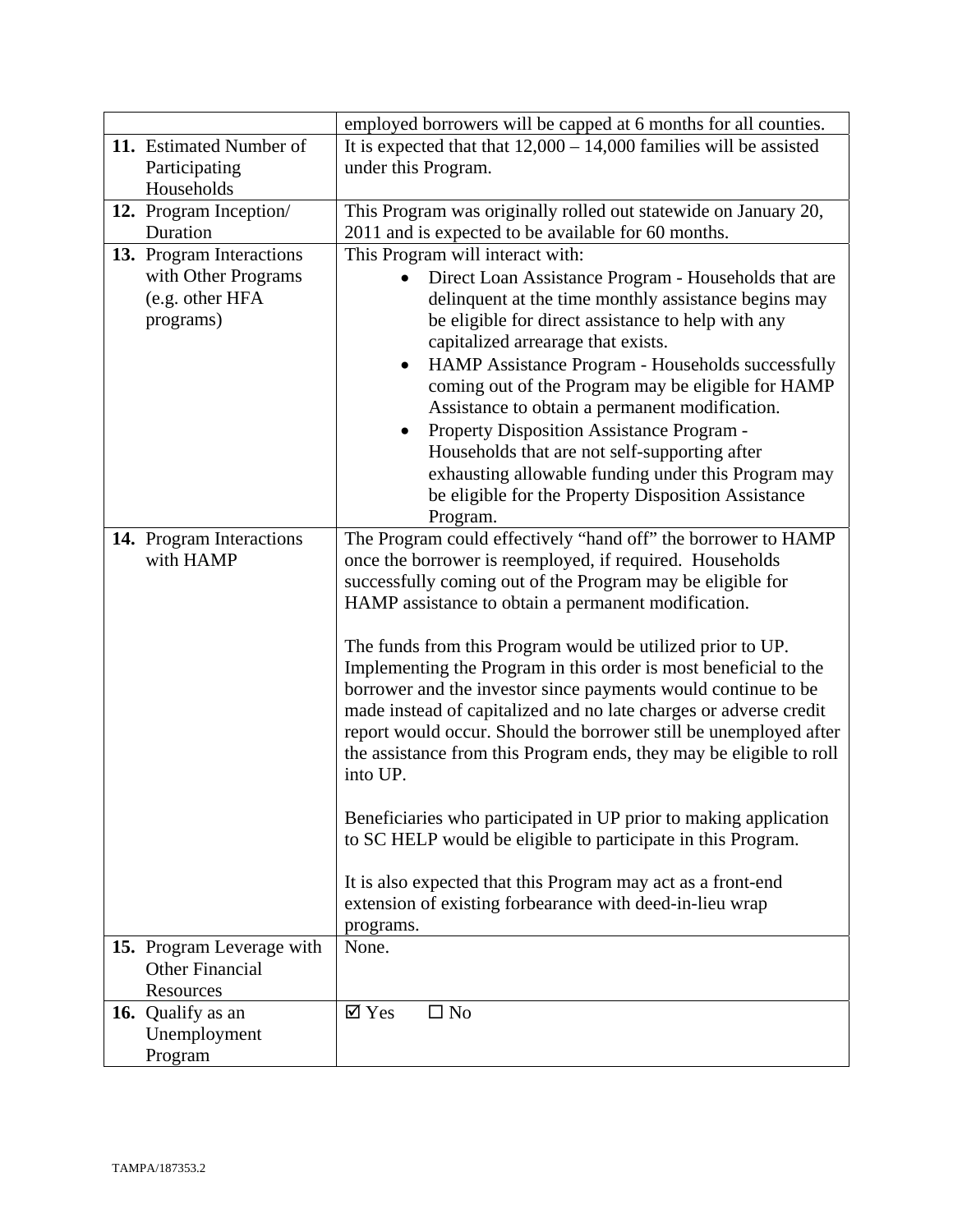|                                                                                 | employed borrowers will be capped at 6 months for all counties.                                                                                                                                                                                                                                                                                                                                                                                                                                                                                                                                                                                                                                                                                                                                                                                                                                                                                             |
|---------------------------------------------------------------------------------|-------------------------------------------------------------------------------------------------------------------------------------------------------------------------------------------------------------------------------------------------------------------------------------------------------------------------------------------------------------------------------------------------------------------------------------------------------------------------------------------------------------------------------------------------------------------------------------------------------------------------------------------------------------------------------------------------------------------------------------------------------------------------------------------------------------------------------------------------------------------------------------------------------------------------------------------------------------|
| 11. Estimated Number of                                                         | It is expected that that $12,000 - 14,000$ families will be assisted                                                                                                                                                                                                                                                                                                                                                                                                                                                                                                                                                                                                                                                                                                                                                                                                                                                                                        |
| Participating                                                                   | under this Program.                                                                                                                                                                                                                                                                                                                                                                                                                                                                                                                                                                                                                                                                                                                                                                                                                                                                                                                                         |
| Households                                                                      |                                                                                                                                                                                                                                                                                                                                                                                                                                                                                                                                                                                                                                                                                                                                                                                                                                                                                                                                                             |
| 12. Program Inception/                                                          | This Program was originally rolled out statewide on January 20,                                                                                                                                                                                                                                                                                                                                                                                                                                                                                                                                                                                                                                                                                                                                                                                                                                                                                             |
| Duration                                                                        | 2011 and is expected to be available for 60 months.                                                                                                                                                                                                                                                                                                                                                                                                                                                                                                                                                                                                                                                                                                                                                                                                                                                                                                         |
| 13. Program Interactions<br>with Other Programs<br>(e.g. other HFA<br>programs) | This Program will interact with:<br>Direct Loan Assistance Program - Households that are<br>$\bullet$<br>delinquent at the time monthly assistance begins may<br>be eligible for direct assistance to help with any<br>capitalized arrearage that exists.<br>HAMP Assistance Program - Households successfully<br>$\bullet$<br>coming out of the Program may be eligible for HAMP<br>Assistance to obtain a permanent modification.<br>Property Disposition Assistance Program -<br>Households that are not self-supporting after                                                                                                                                                                                                                                                                                                                                                                                                                           |
|                                                                                 | exhausting allowable funding under this Program may<br>be eligible for the Property Disposition Assistance<br>Program.                                                                                                                                                                                                                                                                                                                                                                                                                                                                                                                                                                                                                                                                                                                                                                                                                                      |
| 14. Program Interactions<br>with HAMP                                           | The Program could effectively "hand off" the borrower to HAMP<br>once the borrower is reemployed, if required. Households<br>successfully coming out of the Program may be eligible for<br>HAMP assistance to obtain a permanent modification.<br>The funds from this Program would be utilized prior to UP.<br>Implementing the Program in this order is most beneficial to the<br>borrower and the investor since payments would continue to be<br>made instead of capitalized and no late charges or adverse credit<br>report would occur. Should the borrower still be unemployed after<br>the assistance from this Program ends, they may be eligible to roll<br>into UP.<br>Beneficiaries who participated in UP prior to making application<br>to SC HELP would be eligible to participate in this Program.<br>It is also expected that this Program may act as a front-end<br>extension of existing forbearance with deed-in-lieu wrap<br>programs. |
| 15. Program Leverage with<br><b>Other Financial</b><br>Resources                | None.                                                                                                                                                                                                                                                                                                                                                                                                                                                                                                                                                                                                                                                                                                                                                                                                                                                                                                                                                       |
| 16. Qualify as an<br>Unemployment<br>Program                                    | $\boxtimes$ Yes<br>$\square$ No                                                                                                                                                                                                                                                                                                                                                                                                                                                                                                                                                                                                                                                                                                                                                                                                                                                                                                                             |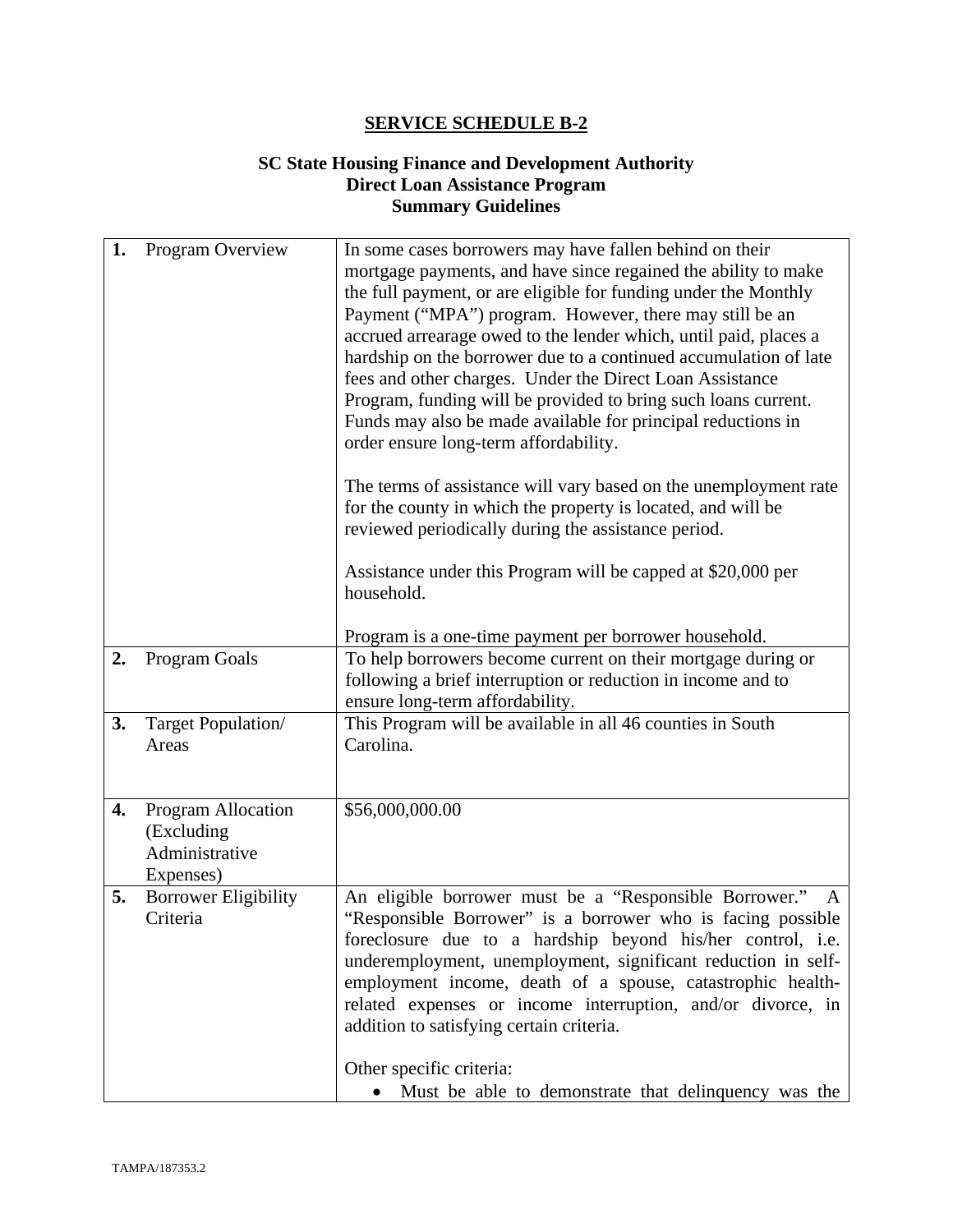#### **SC State Housing Finance and Development Authority Direct Loan Assistance Program Summary Guidelines**

| 1. | Program Overview                                                       | In some cases borrowers may have fallen behind on their<br>mortgage payments, and have since regained the ability to make<br>the full payment, or are eligible for funding under the Monthly<br>Payment ("MPA") program. However, there may still be an<br>accrued arrearage owed to the lender which, until paid, places a<br>hardship on the borrower due to a continued accumulation of late<br>fees and other charges. Under the Direct Loan Assistance<br>Program, funding will be provided to bring such loans current.<br>Funds may also be made available for principal reductions in<br>order ensure long-term affordability.<br>The terms of assistance will vary based on the unemployment rate<br>for the county in which the property is located, and will be<br>reviewed periodically during the assistance period.<br>Assistance under this Program will be capped at \$20,000 per<br>household.<br>Program is a one-time payment per borrower household. |
|----|------------------------------------------------------------------------|--------------------------------------------------------------------------------------------------------------------------------------------------------------------------------------------------------------------------------------------------------------------------------------------------------------------------------------------------------------------------------------------------------------------------------------------------------------------------------------------------------------------------------------------------------------------------------------------------------------------------------------------------------------------------------------------------------------------------------------------------------------------------------------------------------------------------------------------------------------------------------------------------------------------------------------------------------------------------|
| 2. | <b>Program Goals</b>                                                   | To help borrowers become current on their mortgage during or<br>following a brief interruption or reduction in income and to<br>ensure long-term affordability.                                                                                                                                                                                                                                                                                                                                                                                                                                                                                                                                                                                                                                                                                                                                                                                                          |
| 3. | Target Population/<br>Areas                                            | This Program will be available in all 46 counties in South<br>Carolina.                                                                                                                                                                                                                                                                                                                                                                                                                                                                                                                                                                                                                                                                                                                                                                                                                                                                                                  |
| 4. | <b>Program Allocation</b><br>(Excluding<br>Administrative<br>Expenses) | \$56,000,000.00                                                                                                                                                                                                                                                                                                                                                                                                                                                                                                                                                                                                                                                                                                                                                                                                                                                                                                                                                          |
| 5. | <b>Borrower Eligibility</b><br>Criteria                                | An eligible borrower must be a "Responsible Borrower."<br>"Responsible Borrower" is a borrower who is facing possible<br>foreclosure due to a hardship beyond his/her control, i.e.<br>underemployment, unemployment, significant reduction in self-<br>employment income, death of a spouse, catastrophic health-<br>related expenses or income interruption, and/or divorce, in<br>addition to satisfying certain criteria.<br>Other specific criteria:<br>Must be able to demonstrate that delinquency was the                                                                                                                                                                                                                                                                                                                                                                                                                                                        |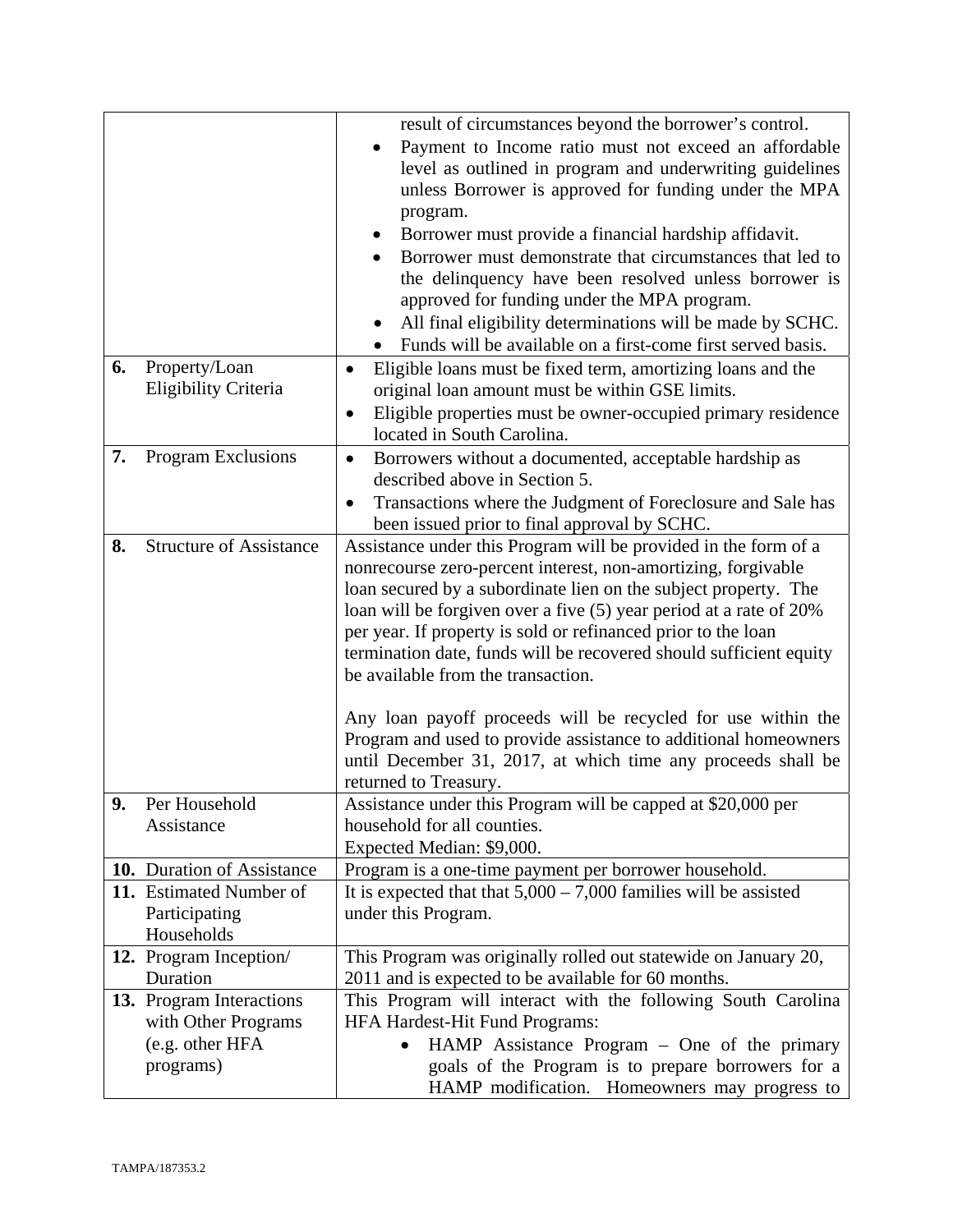|    |                                | result of circumstances beyond the borrower's control.<br>Payment to Income ratio must not exceed an affordable |
|----|--------------------------------|-----------------------------------------------------------------------------------------------------------------|
|    |                                |                                                                                                                 |
|    |                                | level as outlined in program and underwriting guidelines                                                        |
|    |                                | unless Borrower is approved for funding under the MPA                                                           |
|    |                                | program.                                                                                                        |
|    |                                | Borrower must provide a financial hardship affidavit.                                                           |
|    |                                | Borrower must demonstrate that circumstances that led to                                                        |
|    |                                | the delinquency have been resolved unless borrower is                                                           |
|    |                                |                                                                                                                 |
|    |                                | approved for funding under the MPA program.                                                                     |
|    |                                | All final eligibility determinations will be made by SCHC.                                                      |
|    |                                | Funds will be available on a first-come first served basis.                                                     |
| 6. | Property/Loan                  | Eligible loans must be fixed term, amortizing loans and the                                                     |
|    | Eligibility Criteria           | original loan amount must be within GSE limits.                                                                 |
|    |                                | Eligible properties must be owner-occupied primary residence<br>$\bullet$                                       |
|    |                                | located in South Carolina.                                                                                      |
| 7. | Program Exclusions             | Borrowers without a documented, acceptable hardship as<br>$\bullet$                                             |
|    |                                | described above in Section 5.                                                                                   |
|    |                                | Transactions where the Judgment of Foreclosure and Sale has                                                     |
|    |                                | been issued prior to final approval by SCHC.                                                                    |
| 8. | <b>Structure of Assistance</b> | Assistance under this Program will be provided in the form of a                                                 |
|    |                                | nonrecourse zero-percent interest, non-amortizing, forgivable                                                   |
|    |                                | loan secured by a subordinate lien on the subject property. The                                                 |
|    |                                | loan will be forgiven over a five (5) year period at a rate of 20%                                              |
|    |                                |                                                                                                                 |
|    |                                | per year. If property is sold or refinanced prior to the loan                                                   |
|    |                                | termination date, funds will be recovered should sufficient equity                                              |
|    |                                | be available from the transaction.                                                                              |
|    |                                |                                                                                                                 |
|    |                                | Any loan payoff proceeds will be recycled for use within the                                                    |
|    |                                | Program and used to provide assistance to additional homeowners                                                 |
|    |                                | until December 31, 2017, at which time any proceeds shall be                                                    |
|    |                                | returned to Treasury.                                                                                           |
| 9  | Per Household                  | Assistance under this Program will be capped at \$20,000 per                                                    |
|    | Assistance                     | household for all counties.                                                                                     |
|    |                                | Expected Median: \$9,000.                                                                                       |
|    | 10. Duration of Assistance     | Program is a one-time payment per borrower household.                                                           |
|    | 11. Estimated Number of        | It is expected that that $5,000 - 7,000$ families will be assisted                                              |
|    | Participating                  | under this Program.                                                                                             |
|    | Households                     |                                                                                                                 |
|    | 12. Program Inception/         | This Program was originally rolled out statewide on January 20,                                                 |
|    | Duration                       | 2011 and is expected to be available for 60 months.                                                             |
|    | 13. Program Interactions       | This Program will interact with the following South Carolina                                                    |
|    | with Other Programs            | HFA Hardest-Hit Fund Programs:                                                                                  |
|    |                                |                                                                                                                 |
|    | (e.g. other HFA                | HAMP Assistance Program - One of the primary                                                                    |
|    | programs)                      | goals of the Program is to prepare borrowers for a                                                              |
|    |                                | HAMP modification. Homeowners may progress to                                                                   |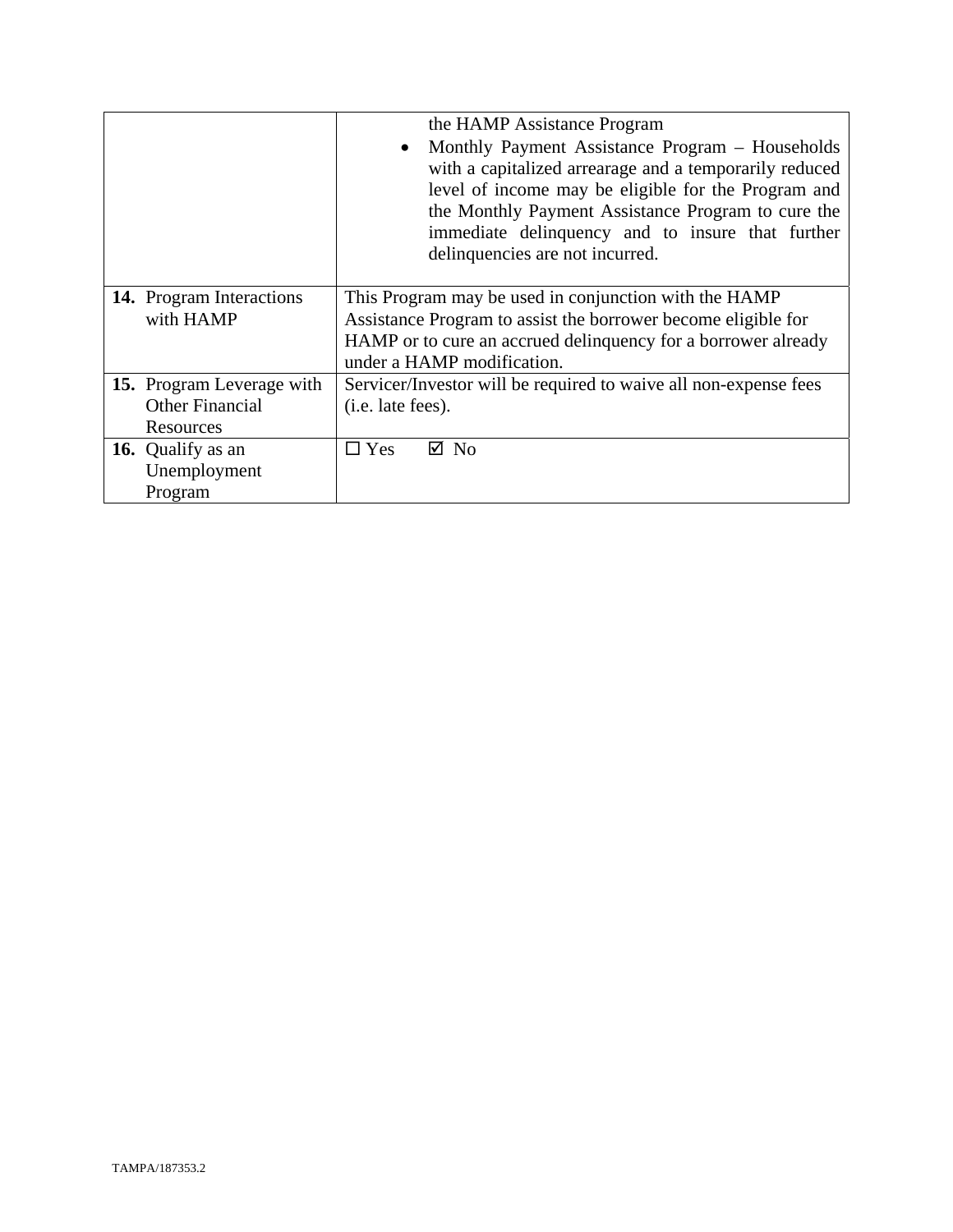|                                 | the HAMP Assistance Program                                      |
|---------------------------------|------------------------------------------------------------------|
|                                 | Monthly Payment Assistance Program - Households<br>$\bullet$     |
|                                 | with a capitalized arrearage and a temporarily reduced           |
|                                 | level of income may be eligible for the Program and              |
|                                 | the Monthly Payment Assistance Program to cure the               |
|                                 | immediate delinquency and to insure that further                 |
|                                 | delinquencies are not incurred.                                  |
|                                 |                                                                  |
| <b>14.</b> Program Interactions | This Program may be used in conjunction with the HAMP            |
| with HAMP                       | Assistance Program to assist the borrower become eligible for    |
|                                 | HAMP or to cure an accrued delinquency for a borrower already    |
|                                 | under a HAMP modification.                                       |
| 15. Program Leverage with       | Servicer/Investor will be required to waive all non-expense fees |
| <b>Other Financial</b>          | ( <i>i.e.</i> late fees).                                        |
| Resources                       |                                                                  |
| 16. Qualify as an               | $\Box$ Yes<br>$\boxtimes$ No                                     |
| Unemployment                    |                                                                  |
| Program                         |                                                                  |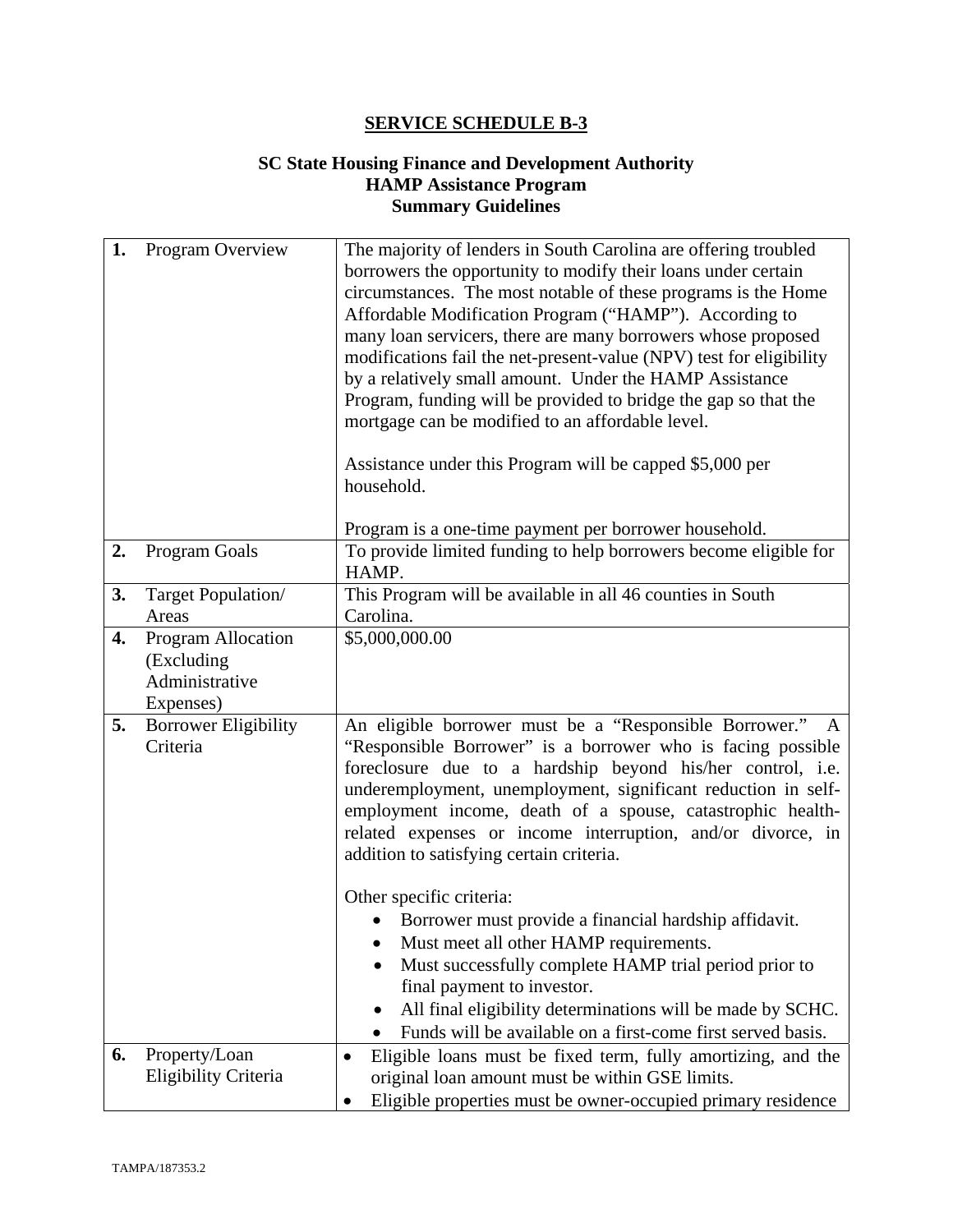# **SC State Housing Finance and Development Authority HAMP Assistance Program Summary Guidelines**

| 1. | Program Overview                                                | The majority of lenders in South Carolina are offering troubled<br>borrowers the opportunity to modify their loans under certain<br>circumstances. The most notable of these programs is the Home<br>Affordable Modification Program ("HAMP"). According to<br>many loan servicers, there are many borrowers whose proposed<br>modifications fail the net-present-value (NPV) test for eligibility<br>by a relatively small amount. Under the HAMP Assistance<br>Program, funding will be provided to bridge the gap so that the<br>mortgage can be modified to an affordable level.<br>Assistance under this Program will be capped \$5,000 per<br>household. |
|----|-----------------------------------------------------------------|----------------------------------------------------------------------------------------------------------------------------------------------------------------------------------------------------------------------------------------------------------------------------------------------------------------------------------------------------------------------------------------------------------------------------------------------------------------------------------------------------------------------------------------------------------------------------------------------------------------------------------------------------------------|
|    |                                                                 | Program is a one-time payment per borrower household.                                                                                                                                                                                                                                                                                                                                                                                                                                                                                                                                                                                                          |
| 2. | Program Goals                                                   | To provide limited funding to help borrowers become eligible for<br>HAMP.                                                                                                                                                                                                                                                                                                                                                                                                                                                                                                                                                                                      |
| 3. | Target Population/                                              | This Program will be available in all 46 counties in South                                                                                                                                                                                                                                                                                                                                                                                                                                                                                                                                                                                                     |
|    | Areas                                                           | Carolina.                                                                                                                                                                                                                                                                                                                                                                                                                                                                                                                                                                                                                                                      |
| 4. | Program Allocation<br>(Excluding<br>Administrative<br>Expenses) | \$5,000,000.00                                                                                                                                                                                                                                                                                                                                                                                                                                                                                                                                                                                                                                                 |
| 5. | <b>Borrower Eligibility</b><br>Criteria                         | An eligible borrower must be a "Responsible Borrower."<br>"Responsible Borrower" is a borrower who is facing possible<br>foreclosure due to a hardship beyond his/her control, i.e.<br>underemployment, unemployment, significant reduction in self-<br>employment income, death of a spouse, catastrophic health-<br>related expenses or income interruption, and/or divorce, in<br>addition to satisfying certain criteria.                                                                                                                                                                                                                                  |
|    |                                                                 | Other specific criteria:<br>Borrower must provide a financial hardship affidavit.<br>Must meet all other HAMP requirements.<br>Must successfully complete HAMP trial period prior to<br>final payment to investor.<br>All final eligibility determinations will be made by SCHC.<br>Funds will be available on a first-come first served basis.                                                                                                                                                                                                                                                                                                                |
| 6. | Property/Loan<br>Eligibility Criteria                           | Eligible loans must be fixed term, fully amortizing, and the<br>$\bullet$<br>original loan amount must be within GSE limits.<br>Eligible properties must be owner-occupied primary residence                                                                                                                                                                                                                                                                                                                                                                                                                                                                   |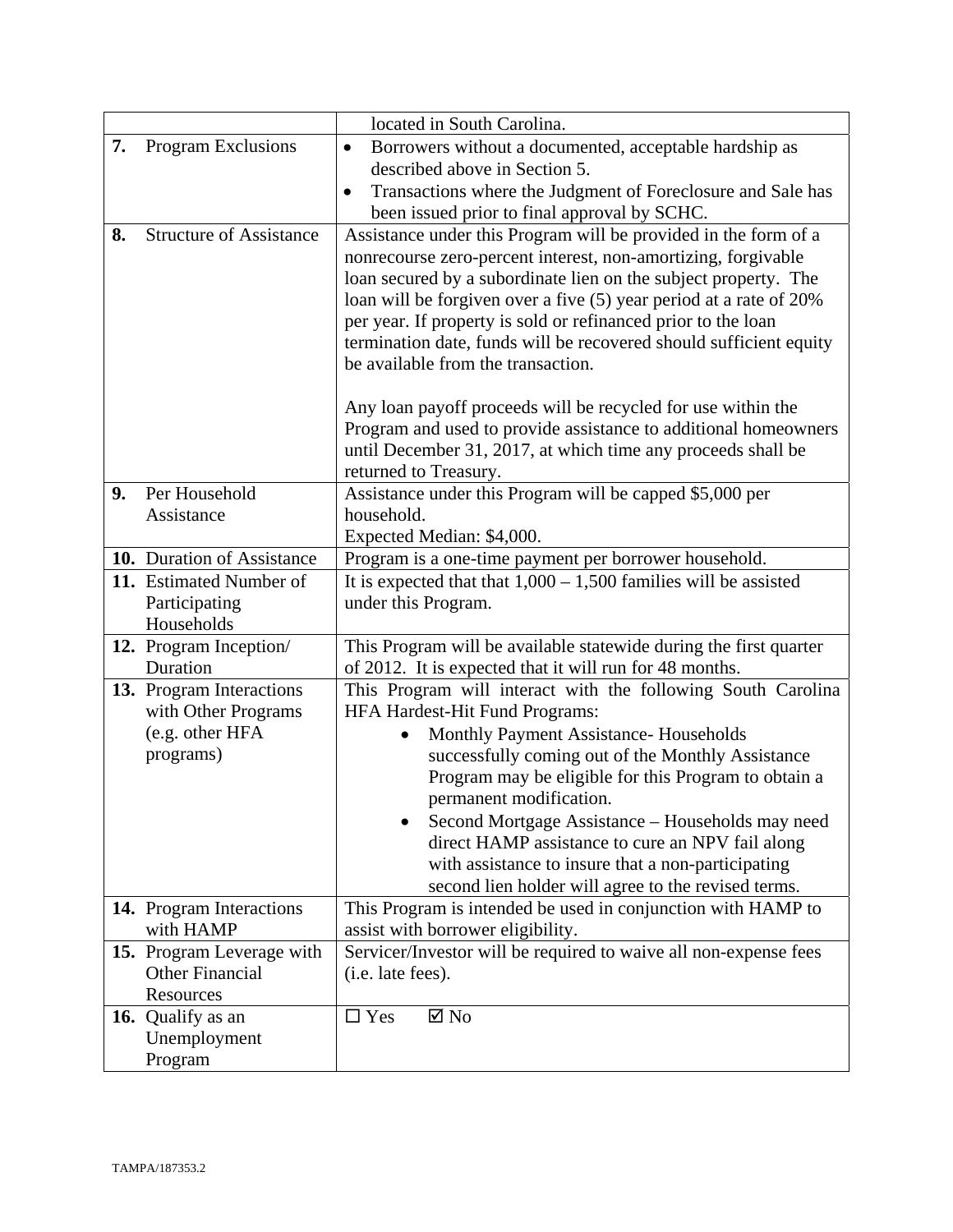|    |                                                                                 | located in South Carolina.                                                                                                                                                                                                                                                                                                                                                                                                                                                                                         |
|----|---------------------------------------------------------------------------------|--------------------------------------------------------------------------------------------------------------------------------------------------------------------------------------------------------------------------------------------------------------------------------------------------------------------------------------------------------------------------------------------------------------------------------------------------------------------------------------------------------------------|
| 7. | Program Exclusions                                                              | Borrowers without a documented, acceptable hardship as<br>$\bullet$                                                                                                                                                                                                                                                                                                                                                                                                                                                |
|    |                                                                                 | described above in Section 5.                                                                                                                                                                                                                                                                                                                                                                                                                                                                                      |
|    |                                                                                 | Transactions where the Judgment of Foreclosure and Sale has<br>$\bullet$                                                                                                                                                                                                                                                                                                                                                                                                                                           |
|    |                                                                                 | been issued prior to final approval by SCHC.                                                                                                                                                                                                                                                                                                                                                                                                                                                                       |
| 8. | <b>Structure of Assistance</b>                                                  | Assistance under this Program will be provided in the form of a<br>nonrecourse zero-percent interest, non-amortizing, forgivable<br>loan secured by a subordinate lien on the subject property. The<br>loan will be forgiven over a five (5) year period at a rate of 20%<br>per year. If property is sold or refinanced prior to the loan<br>termination date, funds will be recovered should sufficient equity<br>be available from the transaction.                                                             |
|    |                                                                                 | Any loan payoff proceeds will be recycled for use within the<br>Program and used to provide assistance to additional homeowners<br>until December 31, 2017, at which time any proceeds shall be<br>returned to Treasury.                                                                                                                                                                                                                                                                                           |
| 9. | Per Household<br>Assistance                                                     | Assistance under this Program will be capped \$5,000 per<br>household.<br>Expected Median: \$4,000.                                                                                                                                                                                                                                                                                                                                                                                                                |
|    | 10. Duration of Assistance                                                      | Program is a one-time payment per borrower household.                                                                                                                                                                                                                                                                                                                                                                                                                                                              |
|    | 11. Estimated Number of<br>Participating<br>Households                          | It is expected that that $1,000 - 1,500$ families will be assisted<br>under this Program.                                                                                                                                                                                                                                                                                                                                                                                                                          |
|    | 12. Program Inception/<br>Duration                                              | This Program will be available statewide during the first quarter<br>of 2012. It is expected that it will run for 48 months.                                                                                                                                                                                                                                                                                                                                                                                       |
|    | 13. Program Interactions<br>with Other Programs<br>(e.g. other HFA<br>programs) | This Program will interact with the following South Carolina<br>HFA Hardest-Hit Fund Programs:<br>Monthly Payment Assistance- Households<br>$\bullet$<br>successfully coming out of the Monthly Assistance<br>Program may be eligible for this Program to obtain a<br>permanent modification.<br>Second Mortgage Assistance – Households may need<br>direct HAMP assistance to cure an NPV fail along<br>with assistance to insure that a non-participating<br>second lien holder will agree to the revised terms. |
|    | 14. Program Interactions<br>with HAMP                                           | This Program is intended be used in conjunction with HAMP to<br>assist with borrower eligibility.                                                                                                                                                                                                                                                                                                                                                                                                                  |
|    | 15. Program Leverage with<br><b>Other Financial</b><br>Resources                | Servicer/Investor will be required to waive all non-expense fees<br>(i.e. late fees).                                                                                                                                                                                                                                                                                                                                                                                                                              |
|    | 16. Qualify as an<br>Unemployment<br>Program                                    | $\boxtimes$ No<br>$\square$ Yes                                                                                                                                                                                                                                                                                                                                                                                                                                                                                    |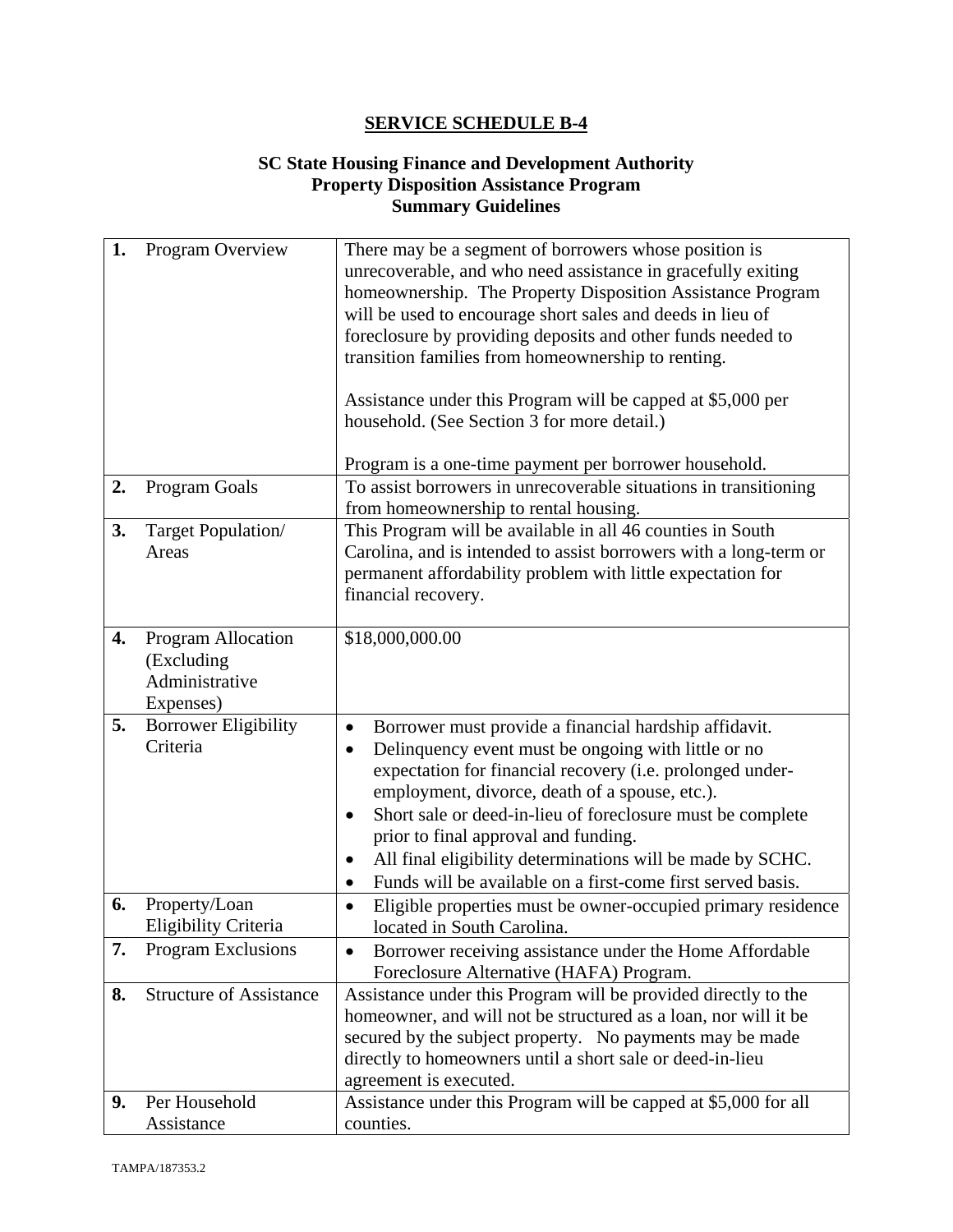#### **SC State Housing Finance and Development Authority Property Disposition Assistance Program Summary Guidelines**

| 1. | Program Overview                                                | There may be a segment of borrowers whose position is<br>unrecoverable, and who need assistance in gracefully exiting<br>homeownership. The Property Disposition Assistance Program<br>will be used to encourage short sales and deeds in lieu of<br>foreclosure by providing deposits and other funds needed to<br>transition families from homeownership to renting.<br>Assistance under this Program will be capped at \$5,000 per<br>household. (See Section 3 for more detail.)<br>Program is a one-time payment per borrower household. |
|----|-----------------------------------------------------------------|-----------------------------------------------------------------------------------------------------------------------------------------------------------------------------------------------------------------------------------------------------------------------------------------------------------------------------------------------------------------------------------------------------------------------------------------------------------------------------------------------------------------------------------------------|
| 2. | Program Goals                                                   | To assist borrowers in unrecoverable situations in transitioning<br>from homeownership to rental housing.                                                                                                                                                                                                                                                                                                                                                                                                                                     |
| 3. | Target Population/<br>Areas                                     | This Program will be available in all 46 counties in South<br>Carolina, and is intended to assist borrowers with a long-term or<br>permanent affordability problem with little expectation for<br>financial recovery.                                                                                                                                                                                                                                                                                                                         |
| 4. | Program Allocation<br>(Excluding<br>Administrative<br>Expenses) | \$18,000,000.00                                                                                                                                                                                                                                                                                                                                                                                                                                                                                                                               |
| 5. | <b>Borrower Eligibility</b><br>Criteria                         | Borrower must provide a financial hardship affidavit.<br>$\bullet$<br>Delinquency event must be ongoing with little or no<br>$\bullet$<br>expectation for financial recovery (i.e. prolonged under-<br>employment, divorce, death of a spouse, etc.).<br>Short sale or deed-in-lieu of foreclosure must be complete<br>$\bullet$<br>prior to final approval and funding.<br>All final eligibility determinations will be made by SCHC.<br>$\bullet$<br>Funds will be available on a first-come first served basis.                            |
| 6. | Property/Loan<br>Eligibility Criteria                           | Eligible properties must be owner-occupied primary residence<br>٠<br>located in South Carolina.                                                                                                                                                                                                                                                                                                                                                                                                                                               |
| 7. | Program Exclusions                                              | Borrower receiving assistance under the Home Affordable<br>$\bullet$<br>Foreclosure Alternative (HAFA) Program.                                                                                                                                                                                                                                                                                                                                                                                                                               |
| 8. | <b>Structure of Assistance</b>                                  | Assistance under this Program will be provided directly to the<br>homeowner, and will not be structured as a loan, nor will it be<br>secured by the subject property. No payments may be made<br>directly to homeowners until a short sale or deed-in-lieu<br>agreement is executed.                                                                                                                                                                                                                                                          |
| 9. | Per Household<br>Assistance                                     | Assistance under this Program will be capped at \$5,000 for all<br>counties.                                                                                                                                                                                                                                                                                                                                                                                                                                                                  |